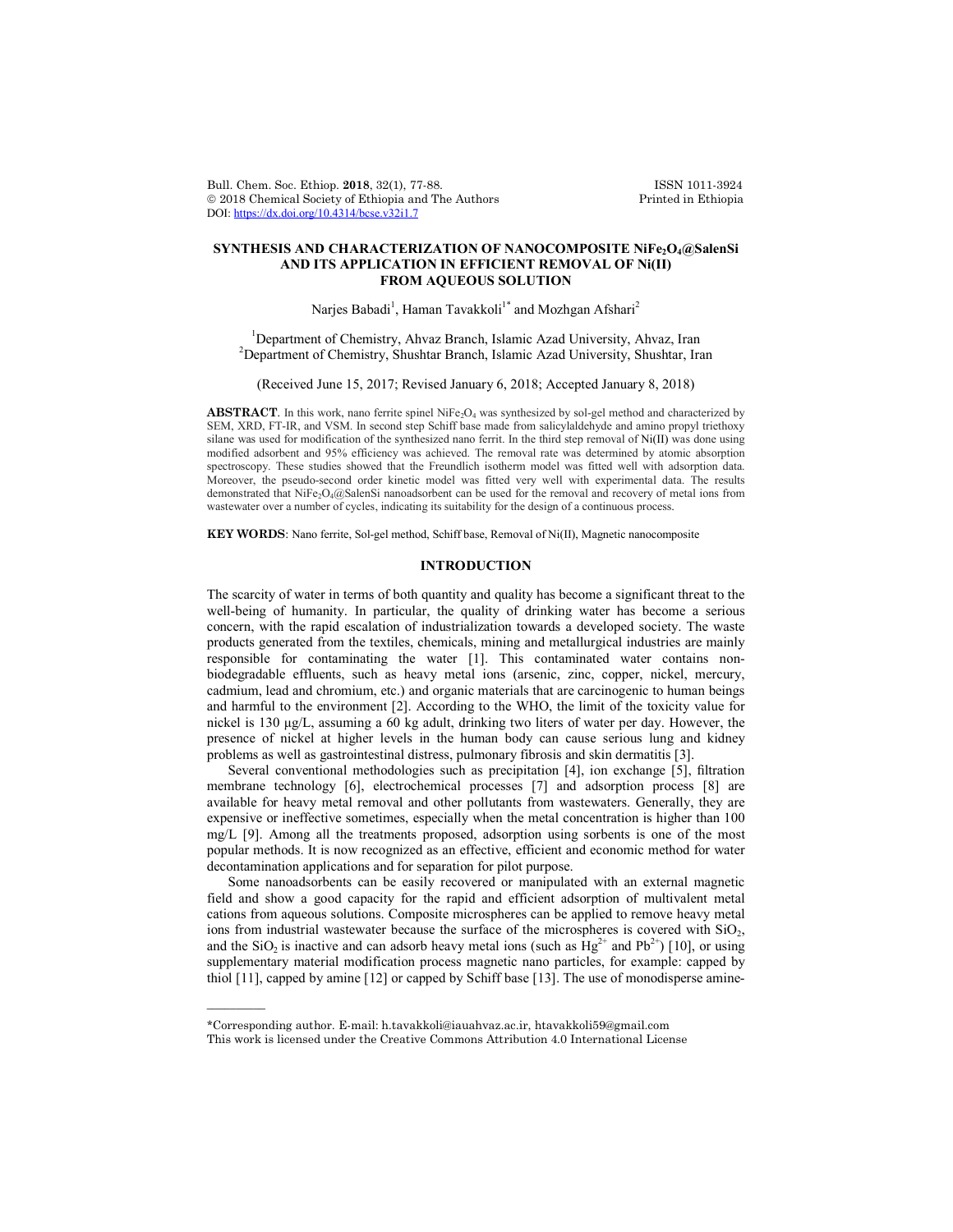Bull. Chem. Soc. Ethiop. 2018, 32(1), 77-88. ISSN 1011-3924<br>
© 2018 Chemical Society of Ethiopia and The Authors Printed in Ethiopia  $© 2018 Chemical Society of Ethiopia and The Authors$ DOI: https://dx.doi.org/10.4314/bcse.v32i1.7

# **SYNTHESIS AND CHARACTERIZATION OF NANOCOMPOSITE NiFe2O4@SalenSi AND ITS APPLICATION IN EFFICIENT REMOVAL OF Ni(II) FROM AQUEOUS SOLUTION**

Narjes Babadi<sup>1</sup>, Haman Tavakkoli<sup>1\*</sup> and Mozhgan Afshari<sup>2</sup>

<sup>1</sup> Department of Chemistry, Ahvaz Branch, Islamic Azad University, Ahvaz, Iran <sup>2</sup> Department of Chemistry, Shughter Prangh, Islamic Azad University, Shughter Ir <sup>2</sup>Department of Chemistry, Shushtar Branch, Islamic Azad University, Shushtar, Iran

(Received June 15, 2017; Revised January 6, 2018; Accepted January 8, 2018)

ABSTRACT. In this work, nano ferrite spinel NiFe<sub>2</sub>O<sub>4</sub> was synthesized by sol-gel method and characterized by SEM, XRD, FT-IR, and VSM. In second step Schiff base made from salicylaldehyde and amino propyl triethoxy silane was used for modification of the synthesized nano ferrit. In the third step removal of  $Ni(II)$  was done using modified adsorbent and 95% efficiency was achieved. The removal rate was determined by atomic absorption spectroscopy. These studies showed that the Freundlich isotherm model was fitted well with adsorption data. Moreover, the pseudo-second order kinetic model was fitted very well with experimental data. The results demonstrated that NiFe<sub>2</sub>O<sub>4</sub>@SalenSi nanoadsorbent can be used for the removal and recovery of metal ions from wastewater over a number of cycles, indicating its suitability for the design of a continuous process.

**KEY WORDS**: Nano ferrite, Sol-gel method, Schiff base, Removal of Ni(II), Magnetic nanocomposite

#### **INTRODUCTION**

The scarcity of water in terms of both quantity and quality has become a significant threat to the well-being of humanity. In particular, the quality of drinking water has become a serious concern, with the rapid escalation of industrialization towards a developed society. The waste products generated from the textiles, chemicals, mining and metallurgical industries are mainly responsible for contaminating the water [1]. This contaminated water contains nonbiodegradable effluents, such as heavy metal ions (arsenic, zinc, copper, nickel, mercury, cadmium, lead and chromium, etc.) and organic materials that are carcinogenic to human beings and harmful to the environment [2]. According to the WHO, the limit of the toxicity value for nickel is 130 μg/L, assuming a 60 kg adult, drinking two liters of water per day. However, the presence of nickel at higher levels in the human body can cause serious lung and kidney problems as well as gastrointestinal distress, pulmonary fibrosis and skin dermatitis [3].

Several conventional methodologies such as precipitation [4], ion exchange [5], filtration membrane technology [6], electrochemical processes [7] and adsorption process [8] are available for heavy metal removal and other pollutants from wastewaters. Generally, they are expensive or ineffective sometimes, especially when the metal concentration is higher than 100 mg/L [9]. Among all the treatments proposed, adsorption using sorbents is one of the most popular methods. It is now recognized as an effective, efficient and economic method for water decontamination applications and for separation for pilot purpose.

Some nanoadsorbents can be easily recovered or manipulated with an external magnetic field and show a good capacity for the rapid and efficient adsorption of multivalent metal cations from aqueous solutions. Composite microspheres can be applied to remove heavy metal ions from industrial wastewater because the surface of the microspheres is covered with  $SiO<sub>2</sub>$ , and the SiO<sub>2</sub> is inactive and can adsorb heavy metal ions (such as  $Hg^{2+}$  and Pb<sup>2+</sup>) [10], or using supplementary material modification process magnetic nano particles, for example: capped by thiol [11], capped by amine [12] or capped by Schiff base [13]. The use of monodisperse amine-

 $\overline{\phantom{a}}$ 

<sup>\*</sup>Corresponding author. E-mail: h.tavakkoli@iauahvaz.ac.ir, htavakkoli59@gmail.com This work is licensed under the Creative Commons Attribution 4.0 International License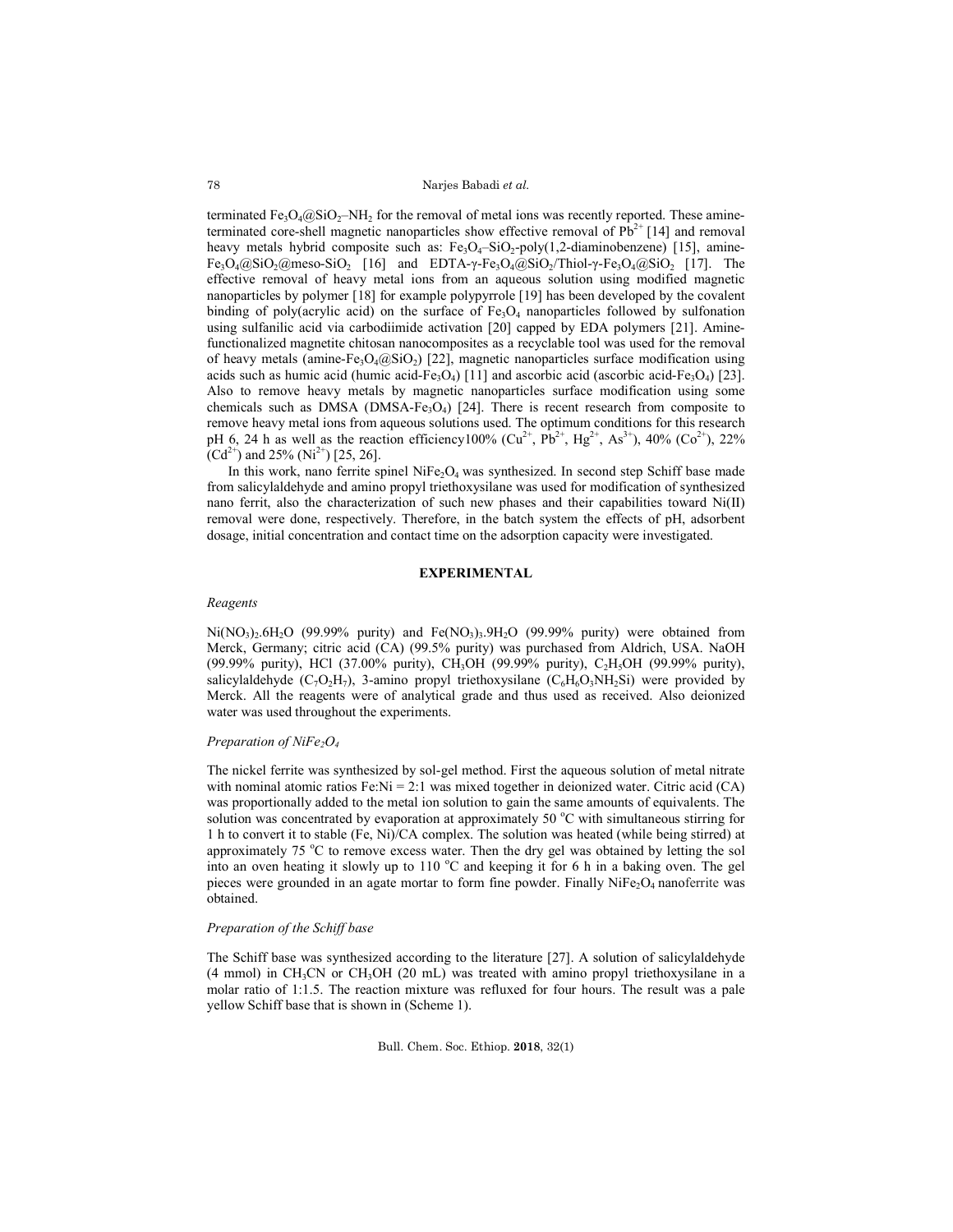Narjes Babadi *et al.*

terminated Fe<sub>3</sub>O<sub>4</sub>@SiO<sub>2</sub>–NH<sub>2</sub> for the removal of metal ions was recently reported. These amineterminated core-shell magnetic nanoparticles show effective removal of  $Pb^{2+}$  [14] and removal heavy metals hybrid composite such as:  $Fe<sub>3</sub>O<sub>4</sub>$ -SiO<sub>2</sub>-poly(1,2-diaminobenzene) [15], amine- $Fe<sub>3</sub>O<sub>4</sub>@SiO<sub>2</sub>(\hat{q})$ meso-SiO<sub>2</sub> [16] and EDTA-γ-Fe<sub>3</sub>O<sub>4</sub> $(\hat{q})$ SiO<sub>2</sub>/Thiol-γ-Fe<sub>3</sub>O<sub>4</sub> $(\hat{q})$ SiO<sub>2</sub> [17]. The effective removal of heavy metal ions from an aqueous solution using modified magnetic nanoparticles by polymer [18] for example polypyrrole [19] has been developed by the covalent binding of poly(acrylic acid) on the surface of  $Fe<sub>3</sub>O<sub>4</sub>$  nanoparticles followed by sulfonation using sulfanilic acid via carbodiimide activation [20] capped by EDA polymers [21]. Aminefunctionalized magnetite chitosan nanocomposites as a recyclable tool was used for the removal of heavy metals (amine-Fe<sub>3</sub>O<sub>4</sub>@SiO<sub>2</sub>) [22], magnetic nanoparticles surface modification using acids such as humic acid (humic acid-Fe<sub>3</sub>O<sub>4</sub>) [11] and ascorbic acid (ascorbic acid-Fe<sub>3</sub>O<sub>4</sub>) [23]. Also to remove heavy metals by magnetic nanoparticles surface modification using some chemicals such as DMSA (DMSA-Fe<sub>3</sub>O<sub>4</sub>) [24]. There is recent research from composite to remove heavy metal ions from aqueous solutions used. The optimum conditions for this research pH 6, 24 h as well as the reaction efficiency100% ( $Cu^{2+}$ , Pb<sup>2+</sup>, Hg<sup>2+</sup>, As<sup>3+</sup>), 40% ( $Co^{2+}$ ), 22%  $(Cd^{2+})$  and 25%  $(Ni^{2+})$  [25, 26].

In this work, nano ferrite spinel NiFe<sub>2</sub>O<sub>4</sub> was synthesized. In second step Schiff base made from salicylaldehyde and amino propyl triethoxysilane was used for modification of synthesized nano ferrit, also the characterization of such new phases and their capabilities toward Ni(II) removal were done, respectively. Therefore, in the batch system the effects of pH, adsorbent dosage, initial concentration and contact time on the adsorption capacity were investigated.

### **EXPERIMENTAL**

#### *Reagents*

 $Ni(NO<sub>3</sub>)<sub>2</sub>6H<sub>2</sub>O$  (99.99% purity) and  $Fe(NO<sub>3</sub>)<sub>3</sub>·9H<sub>2</sub>O$  (99.99% purity) were obtained from Merck, Germany; citric acid (CA) (99.5% purity) was purchased from Aldrich, USA. NaOH (99.99% purity), HCl (37.00% purity), CH<sub>3</sub>OH (99.99% purity), C<sub>2</sub>H<sub>5</sub>OH (99.99% purity), salicylaldehyde  $(C_7O_2H_7)$ , 3-amino propyl triethoxysilane  $(C_6H_6O_3NH_2Si)$  were provided by Merck. All the reagents were of analytical grade and thus used as received. Also deionized water was used throughout the experiments.

### *Preparation of NiFe2O4*

The nickel ferrite was synthesized by sol-gel method. First the aqueous solution of metal nitrate with nominal atomic ratios  $Fe:N = 2:1$  was mixed together in deionized water. Citric acid (CA) was proportionally added to the metal ion solution to gain the same amounts of equivalents. The solution was concentrated by evaporation at approximately 50 °C with simultaneous stirring for 1 h to convert it to stable (Fe, Ni)/CA complex. The solution was heated (while being stirred) at approximately 75 °C to remove excess water. Then the dry gel was obtained by letting the sol into an oven heating it slowly up to  $110\text{ °C}$  and keeping it for 6 h in a baking oven. The gel pieces were grounded in an agate mortar to form fine powder. Finally  $N_1Fe_2O_4$  nanoferrite was obtained.

#### *Preparation of the Schiff base*

The Schiff base was synthesized according to the literature [27]. A solution of salicylaldehyde  $(4 \text{ mmol})$  in CH<sub>3</sub>CN or CH<sub>3</sub>OH (20 mL) was treated with amino propyl triethoxysilane in a molar ratio of 1:1.5. The reaction mixture was refluxed for four hours. The result was a pale yellow Schiff base that is shown in (Scheme 1).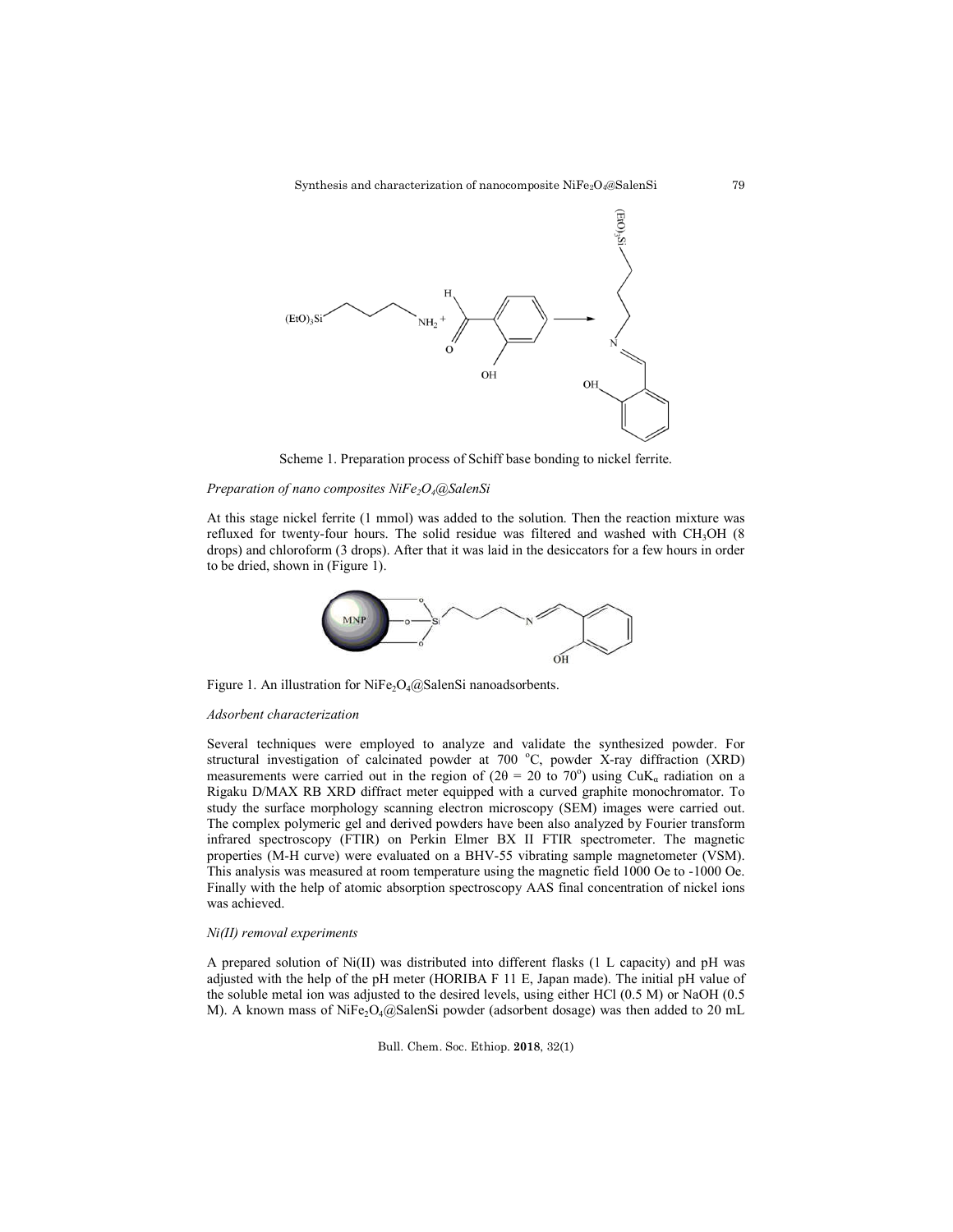

Scheme 1. Preparation process of Schiff base bonding to nickel ferrite.

# *Preparation of nano composites NiFe2O4@SalenSi*

At this stage nickel ferrite (1 mmol) was added to the solution. Then the reaction mixture was refluxed for twenty-four hours. The solid residue was filtered and washed with CH<sub>3</sub>OH (8) drops) and chloroform (3 drops). After that it was laid in the desiccators for a few hours in order to be dried, shown in (Figure 1).



Figure 1. An illustration for NiFe<sub>2</sub>O<sub>4</sub>@SalenSi nanoadsorbents.

#### *Adsorbent characterization*

Several techniques were employed to analyze and validate the synthesized powder. For structural investigation of calcinated powder at 700  $^{\circ}$ C, powder X-ray diffraction (XRD) measurements were carried out in the region of ( $2\theta = 20$  to  $70^{\circ}$ ) using CuK<sub>a</sub> radiation on a Rigaku D/MAX RB XRD diffract meter equipped with a curved graphite monochromator. To study the surface morphology scanning electron microscopy (SEM) images were carried out. The complex polymeric gel and derived powders have been also analyzed by Fourier transform infrared spectroscopy (FTIR) on Perkin Elmer BX II FTIR spectrometer. The magnetic properties (M-H curve) were evaluated on a BHV-55 vibrating sample magnetometer (VSM). This analysis was measured at room temperature using the magnetic field 1000 Oe to -1000 Oe. Finally with the help of atomic absorption spectroscopy AAS final concentration of nickel ions was achieved.

# *Ni(II) removal experiments*

A prepared solution of Ni(II) was distributed into different flasks (1 L capacity) and pH was adjusted with the help of the pH meter (HORIBA F 11 E, Japan made). The initial pH value of the soluble metal ion was adjusted to the desired levels, using either HCl (0.5 M) or NaOH (0.5 M). A known mass of NiFe<sub>2</sub>O<sub>4</sub>@SalenSi powder (adsorbent dosage) was then added to 20 mL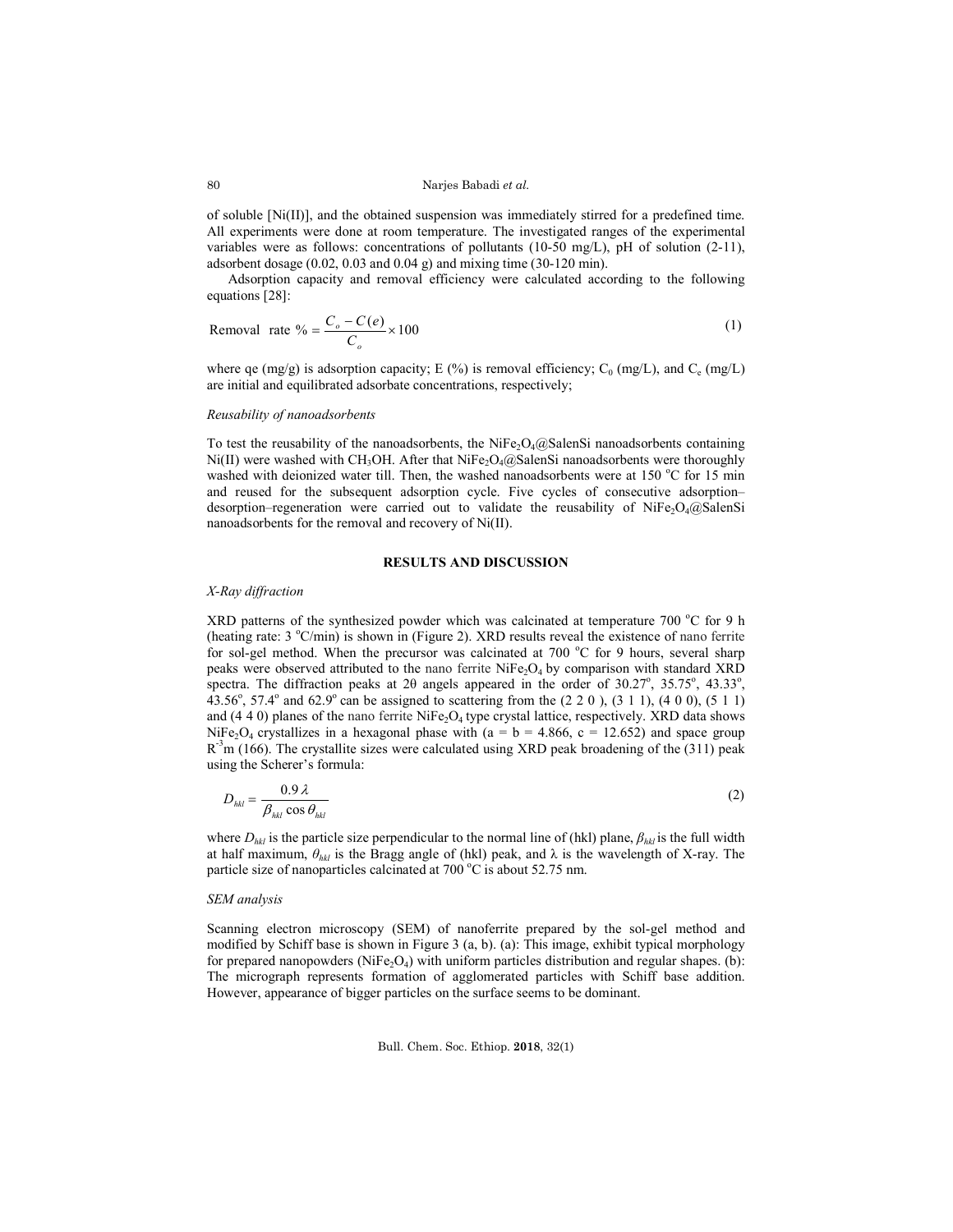### Narjes Babadi *et al.*

of soluble  $[Ni(II)]$ , and the obtained suspension was immediately stirred for a predefined time. All experiments were done at room temperature. The investigated ranges of the experimental variables were as follows: concentrations of pollutants (10-50 mg/L), pH of solution (2-11), adsorbent dosage (0.02, 0.03 and 0.04 g) and mixing time (30-120 min).

Adsorption capacity and removal efficiency were calculated according to the following equations [28]:

Removal rate 
$$
% = \frac{C_o - C(e)}{C_o} \times 100
$$
 (1)

where qe (mg/g) is adsorption capacity; E (%) is removal efficiency; C<sub>0</sub> (mg/L), and C<sub>e</sub> (mg/L) are initial and equilibrated adsorbate concentrations, respectively;

### *Reusability of nanoadsorbents*

To test the reusability of the nanoadsorbents, the NiFe<sub>2</sub>O<sub>4</sub>@SalenSi nanoadsorbents containing  $Ni(II)$  were washed with CH<sub>3</sub>OH. After that NiFe<sub>2</sub>O<sub>4</sub> $@$ SalenSi nanoadsorbents were thoroughly washed with deionized water till. Then, the washed nanoadsorbents were at 150 °C for 15 min and reused for the subsequent adsorption cycle. Five cycles of consecutive adsorption– desorption–regeneration were carried out to validate the reusability of NiFe<sub>2</sub>O<sub>4</sub>@SalenSi nanoadsorbents for the removal and recovery of Ni(II).

# **RESULTS AND DISCUSSION**

#### *X-Ray diffraction*

XRD patterns of the synthesized powder which was calcinated at temperature 700  $^{\circ}$ C for 9 h (heating rate: 3 °C/min) is shown in (Figure 2). XRD results reveal the existence of nano ferrite for sol-gel method. When the precursor was calcinated at 700 °C for 9 hours, several sharp peaks were observed attributed to the nano ferrite  $NiFe<sub>2</sub>O<sub>4</sub>$  by comparison with standard XRD spectra. The diffraction peaks at 20 angels appeared in the order of  $30.27^{\circ}$ ,  $35.75^{\circ}$ ,  $43.33^{\circ}$ ,  $43.56^{\circ}$ , 57.4° and 62.9° can be assigned to scattering from the (2 2 0 ), (3 1 1), (4 0 0), (5 1 1) and  $(4\ 4\ 0)$  planes of the nano ferrite NiFe<sub>2</sub>O<sub>4</sub> type crystal lattice, respectively. XRD data shows NiFe<sub>2</sub>O<sub>4</sub> crystallizes in a hexagonal phase with (a = b = 4.866, c = 12.652) and space group  $R^{-3}$ m (166). The crystallite sizes were calculated using XRD peak broadening of the (311) peak using the Scherer's formula:

$$
D_{hkl} = \frac{0.9 \lambda}{\beta_{hkl} \cos \theta_{hkl}}\tag{2}
$$

where *Dhkl* is the particle size perpendicular to the normal line of (hkl) plane, *βhkl* is the full width at half maximum,  $\theta_{hkl}$  is the Bragg angle of (hkl) peak, and  $\lambda$  is the wavelength of X-ray. The particle size of nanoparticles calcinated at 700 $\degree$ C is about 52.75 nm.

#### *SEM analysis*

Scanning electron microscopy (SEM) of nanoferrite prepared by the sol-gel method and modified by Schiff base is shown in Figure 3 (a, b). (a): This image, exhibit typical morphology for prepared nanopowders (NiFe<sub>2</sub>O<sub>4</sub>) with uniform particles distribution and regular shapes. (b): The micrograph represents formation of agglomerated particles with Schiff base addition. However, appearance of bigger particles on the surface seems to be dominant.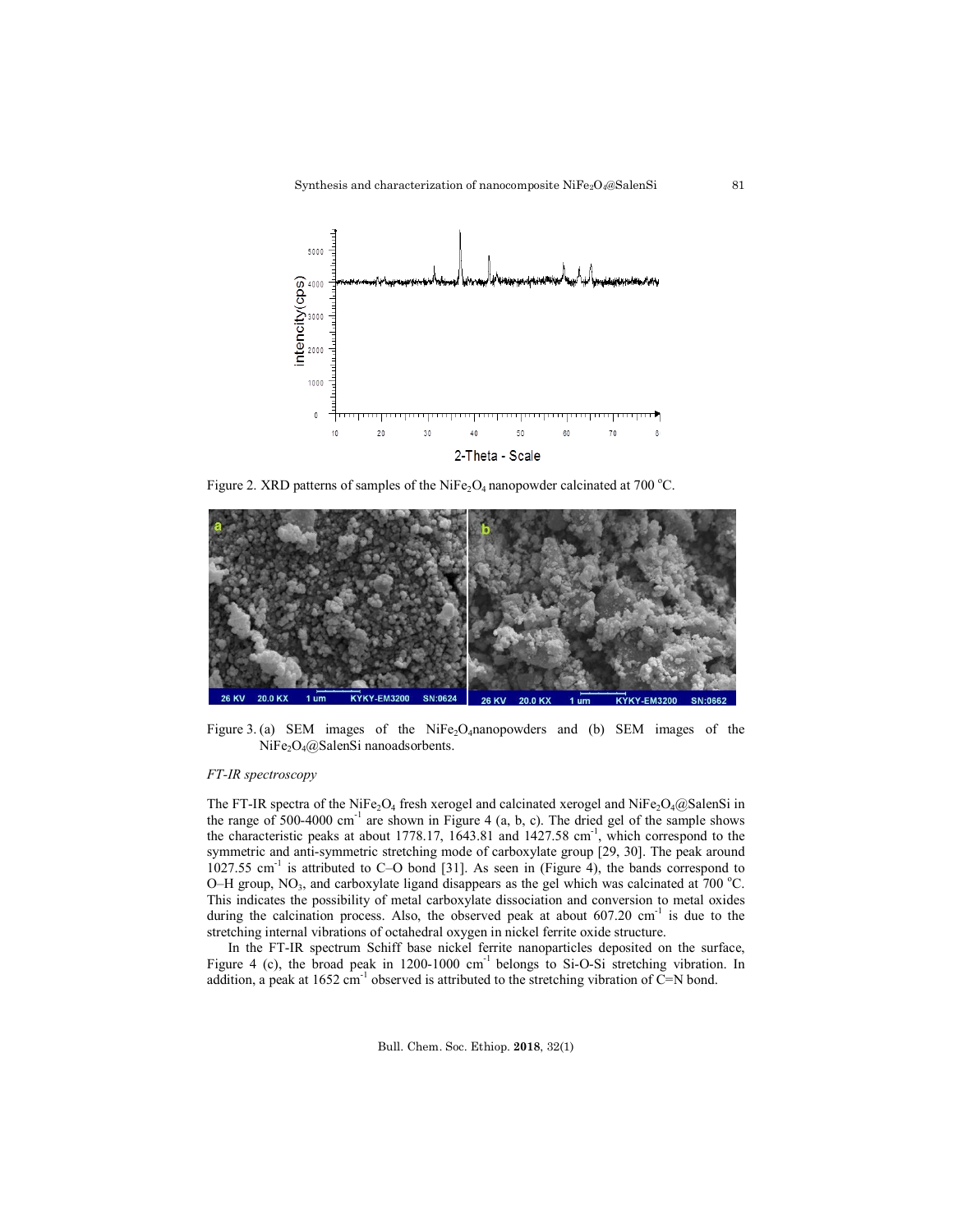

Figure 2. XRD patterns of samples of the NiFe<sub>2</sub>O<sub>4</sub> nanopowder calcinated at 700 °C.



Figure 3. (a) SEM images of the NiFe<sub>2</sub>O<sub>4</sub>nanopowders and (b) SEM images of the NiFe<sub>2</sub>O<sub>4</sub>@SalenSi nanoadsorbents.

### *FT-IR spectroscopy*

The FT-IR spectra of the NiFe<sub>2</sub>O<sub>4</sub> fresh xerogel and calcinated xerogel and NiFe<sub>2</sub>O<sub>4</sub>@SalenSi in the range of  $500-4000$  cm<sup>-1</sup> are shown in Figure 4 (a, b, c). The dried gel of the sample shows the characteristic peaks at about 1778.17, 1643.81 and  $1427.58$  cm<sup>-1</sup>, which correspond to the symmetric and anti-symmetric stretching mode of carboxylate group [29, 30]. The peak around  $1027.55$  cm<sup>-1</sup> is attributed to C-O bond [31]. As seen in (Figure 4), the bands correspond to O-H group, NO<sub>3</sub>, and carboxylate ligand disappears as the gel which was calcinated at  $700^{\circ}$ C. This indicates the possibility of metal carboxylate dissociation and conversion to metal oxides during the calcination process. Also, the observed peak at about  $607.20 \text{ cm}^{-1}$  is due to the stretching internal vibrations of octahedral oxygen in nickel ferrite oxide structure.

In the FT-IR spectrum Schiff base nickel ferrite nanoparticles deposited on the surface, Figure 4 (c), the broad peak in  $1200-1000$  cm<sup>-1</sup> belongs to Si-O-Si stretching vibration. In addition, a peak at  $1652 \text{ cm}^{-1}$  observed is attributed to the stretching vibration of C=N bond.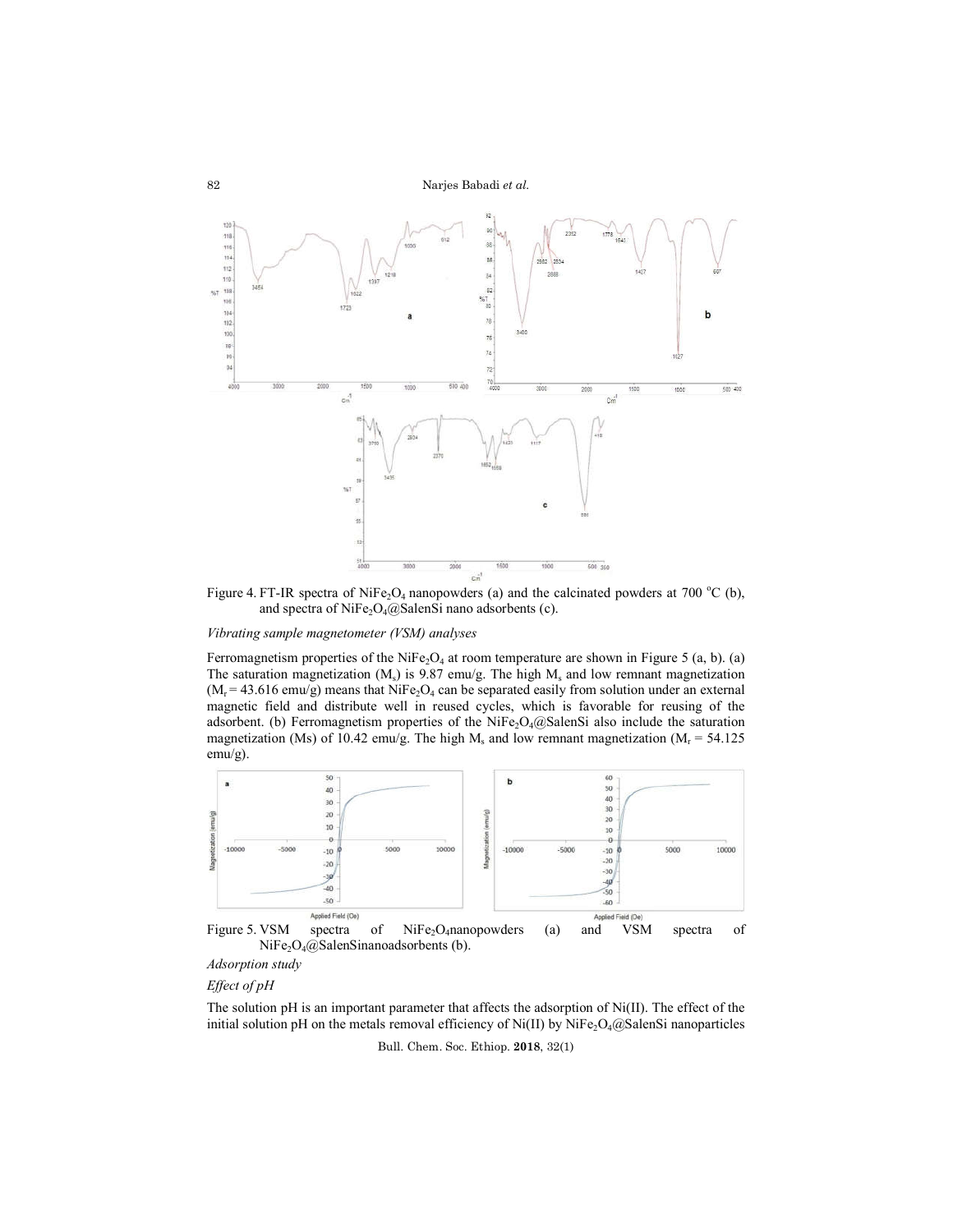

Figure 4. FT-IR spectra of NiFe<sub>2</sub>O<sub>4</sub> nanopowders (a) and the calcinated powders at 700 °C (b), and spectra of NiFe<sub>2</sub>O<sub>4</sub>@SalenSi nano adsorbents (c).

# *Vibrating sample magnetometer (VSM) analyses*

Ferromagnetism properties of the NiFe<sub>2</sub>O<sub>4</sub> at room temperature are shown in Figure 5 (a, b). (a) The saturation magnetization  $(M_s)$  is 9.87 emu/g. The high  $M_s$  and low remnant magnetization  $(M<sub>r</sub> = 43.616$  emu/g) means that NiFe<sub>2</sub>O<sub>4</sub> can be separated easily from solution under an external magnetic field and distribute well in reused cycles, which is favorable for reusing of the adsorbent. (b) Ferromagnetism properties of the NiFe<sub>2</sub>O<sub>4</sub> $@$ SalenSi also include the saturation magnetization (Ms) of 10.42 emu/g. The high M<sub>s</sub> and low remnant magnetization (M<sub>r</sub> = 54.125) emu/g).



*Adsorption study*

*Effect of pH*

The solution pH is an important parameter that affects the adsorption of Ni(II). The effect of the initial solution pH on the metals removal efficiency of Ni(II) by NiFe<sub>2</sub>O<sub>4</sub>@SalenSi nanoparticles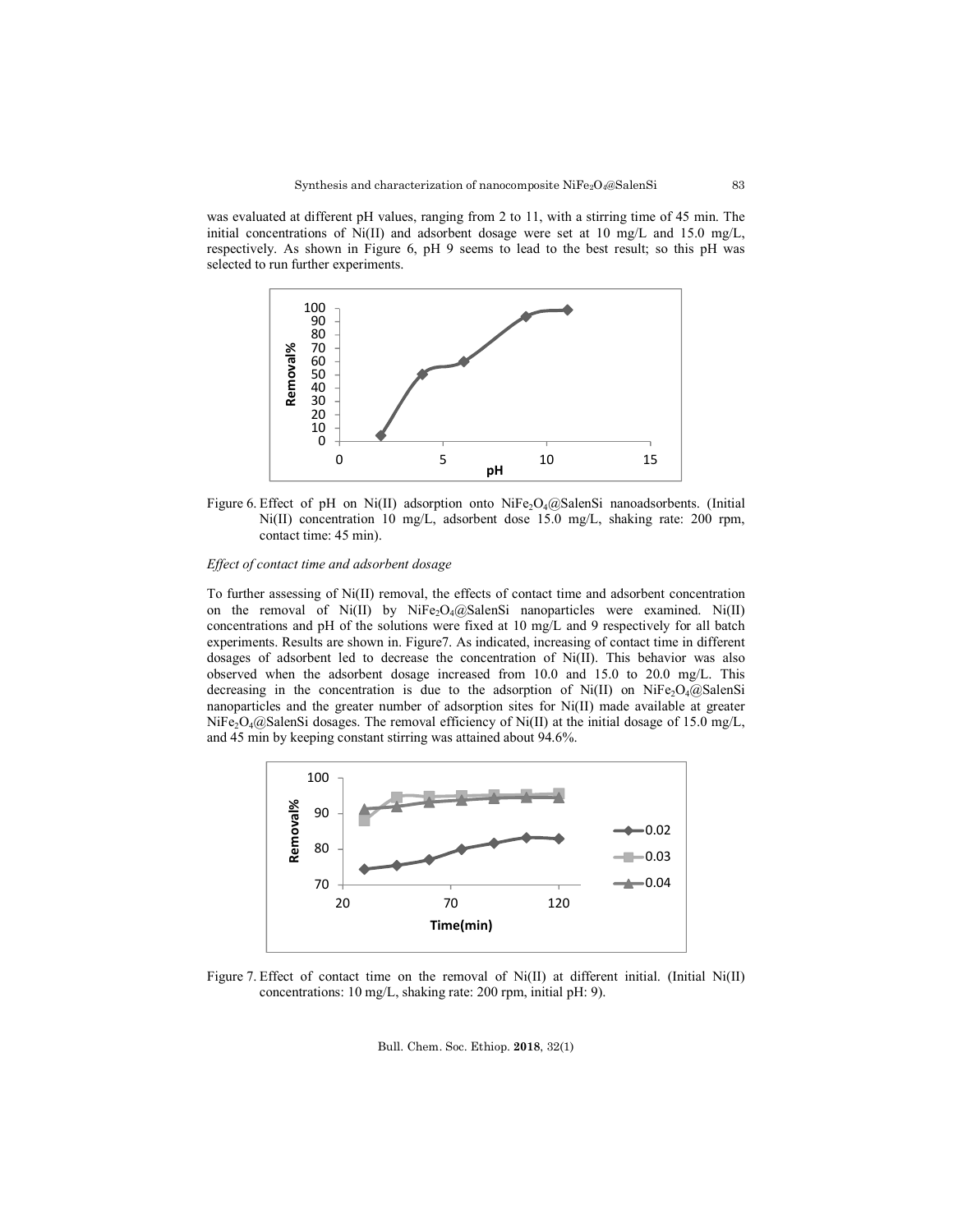was evaluated at different pH values, ranging from 2 to 11, with a stirring time of 45 min. The initial concentrations of Ni(II) and adsorbent dosage were set at 10 mg/L and 15.0 mg/L, respectively. As shown in Figure 6, pH 9 seems to lead to the best result; so this pH was selected to run further experiments.



Figure 6. Effect of pH on Ni(II) adsorption onto NiFe<sub>2</sub>O<sub>4</sub>@SalenSi nanoadsorbents. (Initial Ni(II) concentration 10 mg/L, adsorbent dose 15.0 mg/L, shaking rate: 200 rpm, contact time: 45 min).

### *Effect of contact time and adsorbent dosage*

To further assessing of Ni(II) removal, the effects of contact time and adsorbent concentration on the removal of Ni(II) by NiFe<sub>2</sub>O<sub>4</sub>@SalenSi nanoparticles were examined. Ni(II) concentrations and pH of the solutions were fixed at 10 mg/L and 9 respectively for all batch experiments. Results are shown in. Figure7. As indicated, increasing of contact time in different dosages of adsorbent led to decrease the concentration of Ni(II). This behavior was also observed when the adsorbent dosage increased from 10.0 and 15.0 to 20.0 mg/L. This decreasing in the concentration is due to the adsorption of  $Ni(II)$  on  $NiFe<sub>2</sub>Q<sub>4</sub>(Q)$  and nanoparticles and the greater number of adsorption sites for Ni(II) made available at greater NiFe<sub>2</sub>O<sub>4</sub>@SalenSi dosages. The removal efficiency of Ni(II) at the initial dosage of 15.0 mg/L, and 45 min by keeping constant stirring was attained about 94.6%.



Figure 7. Effect of contact time on the removal of Ni(II) at different initial. (Initial Ni(II) concentrations: 10 mg/L, shaking rate: 200 rpm, initial pH: 9).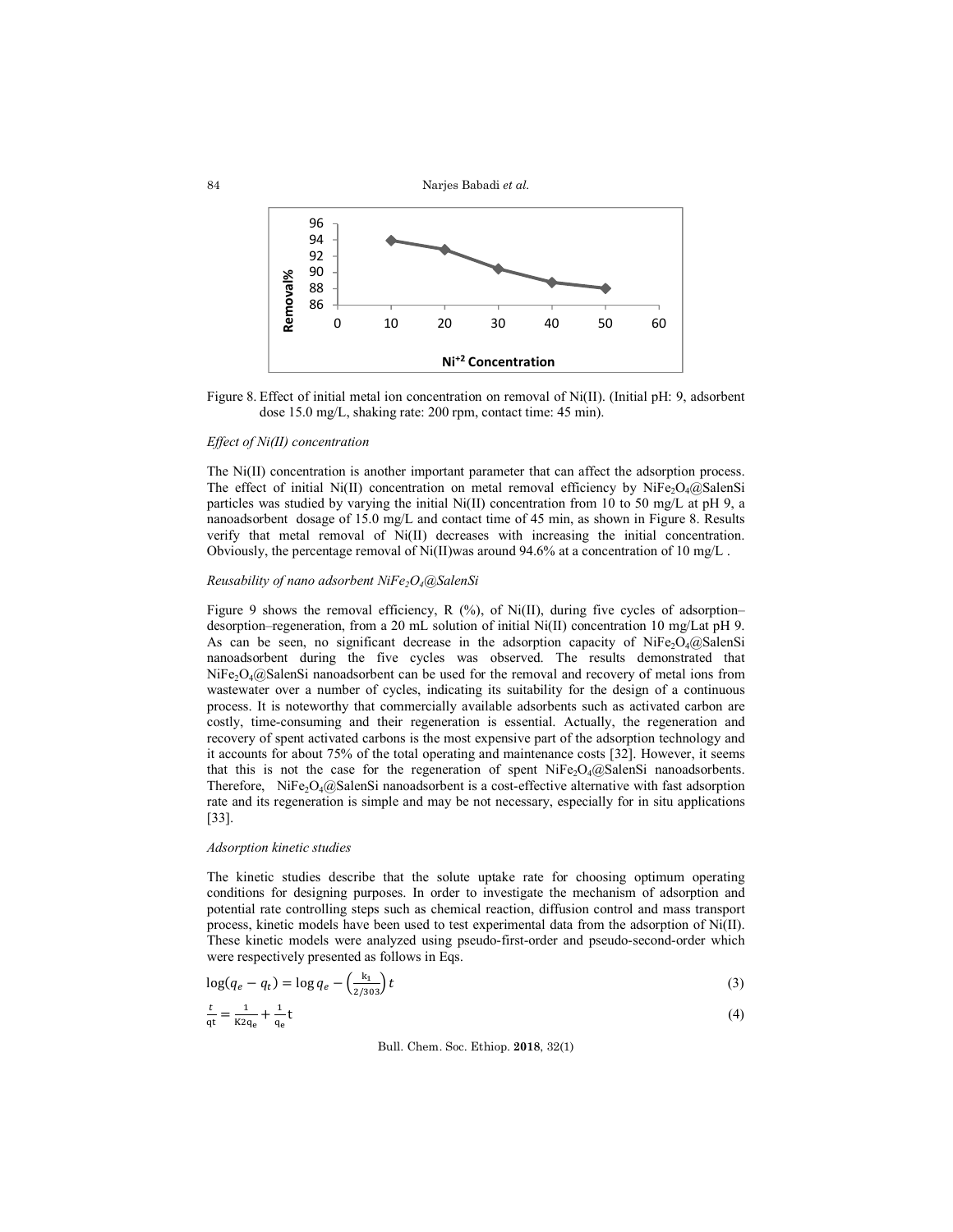

Figure 8. Effect of initial metal ion concentration on removal of  $Ni(II)$ . (Initial pH: 9, adsorbent dose 15.0 mg/L, shaking rate: 200 rpm, contact time: 45 min).

#### *Effect of Ni(II) concentration*

The Ni(II) concentration is another important parameter that can affect the adsorption process. The effect of initial Ni(II) concentration on metal removal efficiency by NiFe<sub>2</sub>O<sub>4</sub>@SalenSi particles was studied by varying the initial Ni(II) concentration from 10 to 50 mg/L at pH 9, a nanoadsorbent dosage of 15.0 mg/L and contact time of 45 min, as shown in Figure 8. Results verify that metal removal of Ni(II) decreases with increasing the initial concentration. Obviously, the percentage removal of  $Ni(II)$  was around 94.6% at a concentration of 10 mg/L.

# *Reusability of nano adsorbent NiFe2O4@SalenSi*

Figure 9 shows the removal efficiency, R  $(\%)$ , of Ni(II), during five cycles of adsorption– desorption–regeneration, from a 20 mL solution of initial Ni(II) concentration 10 mg/Lat pH 9. As can be seen, no significant decrease in the adsorption capacity of  $NiFe<sub>2</sub>O<sub>4</sub>(QSalenSi)$ nanoadsorbent during the five cycles was observed. The results demonstrated that NiFe<sub>2</sub>O<sub>4</sub>@SalenSi nanoadsorbent can be used for the removal and recovery of metal ions from wastewater over a number of cycles, indicating its suitability for the design of a continuous process. It is noteworthy that commercially available adsorbents such as activated carbon are costly, time-consuming and their regeneration is essential. Actually, the regeneration and recovery of spent activated carbons is the most expensive part of the adsorption technology and it accounts for about 75% of the total operating and maintenance costs [32]. However, it seems that this is not the case for the regeneration of spent  $NiFe<sub>2</sub>O<sub>4</sub>(Q)$ SalenSi nanoadsorbents. Therefore, NiFe<sub>2</sub>O<sub>4</sub>@SalenSi nanoadsorbent is a cost-effective alternative with fast adsorption rate and its regeneration is simple and may be not necessary, especially for in situ applications [33].

# *Adsorption kinetic studies*

The kinetic studies describe that the solute uptake rate for choosing optimum operating conditions for designing purposes. In order to investigate the mechanism of adsorption and potential rate controlling steps such as chemical reaction, diffusion control and mass transport process, kinetic models have been used to test experimental data from the adsorption of Ni(II). These kinetic models were analyzed using pseudo-first-order and pseudo-second-order which were respectively presented as follows in Eqs.

$$
\log(q_e - q_t) = \log q_e - \left(\frac{k_1}{2/303}\right)t\tag{3}
$$

$$
\frac{t}{qt} = \frac{1}{K2q_e} + \frac{1}{q_e}t\tag{4}
$$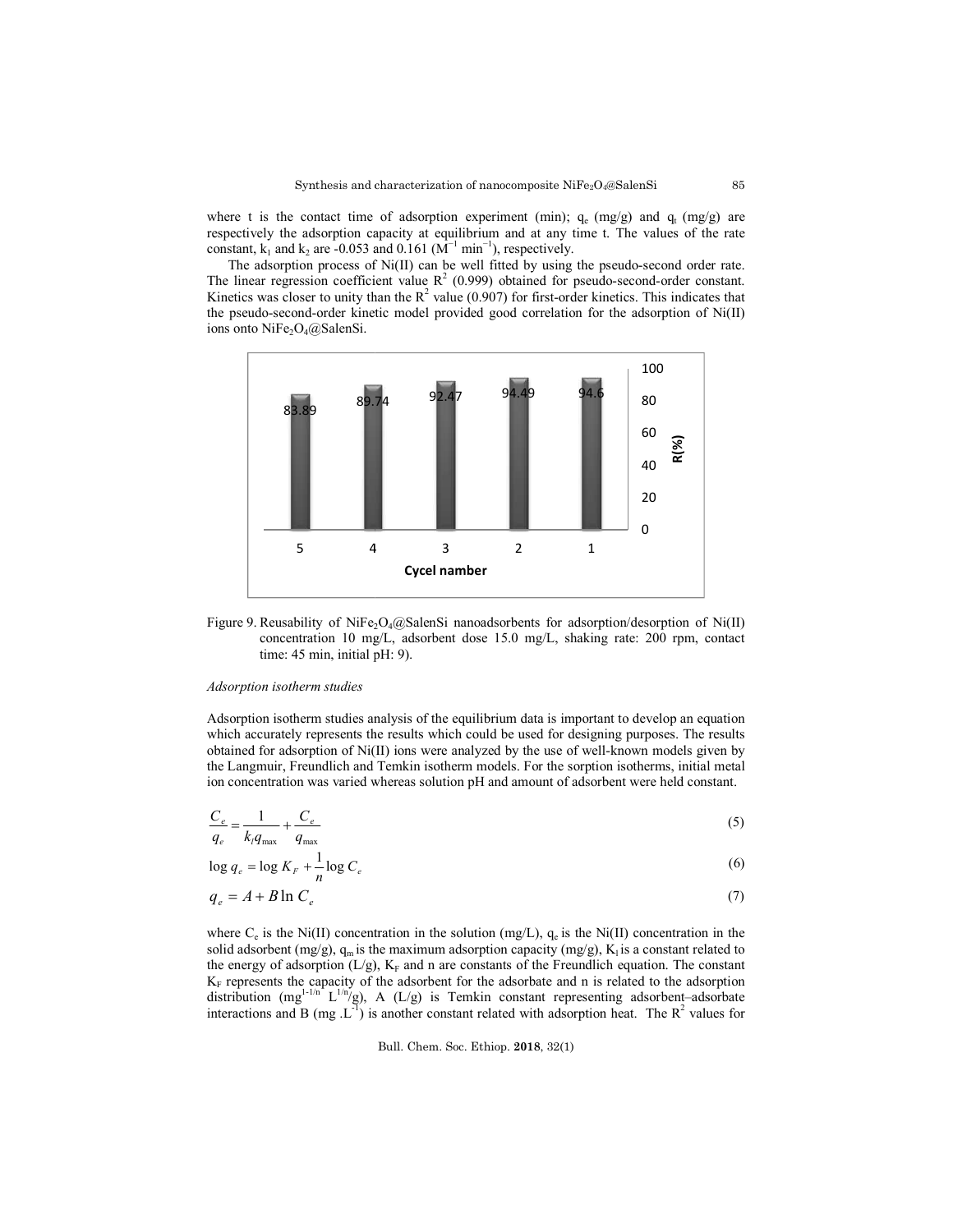where t is the contact time of adsorption experiment (min);  $q_e$  (mg/g) and  $q_t$  (mg/g) are respectively the adsorption capacity at equilibrium and at any time t. The values of the rate constant,  $k_1$  and  $k_2$  are -0.053 and 0.161 ( $\mathbf{M}^{-1}$  min<sup>-1</sup>), respectively.

The adsorption process of Ni(II) can be well fitted by using the pseudo-second order rate. The linear regression coefficient value  $R^2$  (0.999) obtained for pseudo-second-order constant. Kinetics was closer to unity than the  $R^2$  value (0.907) for first-order kinetics. This indicates that the pseudo-second-order kinetic model provided good correlation for the adsorption of Ni(II) ions onto NiFe<sub>2</sub>O<sub>4</sub> $@$ SalenSi.



Figure 9. Reusability of NiFe<sub>2</sub>O<sub>4</sub>@SalenSi nanoadsorbents for adsorption/desorption of Ni(II) concentration 10 mg/L, adsorbent dose 15.0 mg/L, shaking rate: 200 rpm, contact time: 45 min, initial pH: 9). time: 45 min, initial pH: 9).

### *Adsorption isotherm studies*

Adsorption isotherm studies analysis of the equilibrium data is important to develop an equation which accurately represents the results which could be used for designing purposes. The results obtained for adsorption of Ni(II) ions were analyzed by the use of well-known models given by the Langmuir, Freundlich and Temkin isotherm models. For the sorption isotherms, initial metal ion concentration was varied whereas solution pH and amount of adsorbent were held constant.

$$
\frac{C_e}{q_e} = \frac{1}{k_i q_{\text{max}}} + \frac{C_e}{q_{\text{max}}}
$$
\n(5)

 $\log q_e = \log K_F + \frac{1}{n} \log C_e$ (6)

$$
q_e = A + B \ln C_e \tag{7}
$$

where  $C_e$  is the Ni(II) concentration in the solution (mg/L),  $q_e$  is the Ni(II) concentration in the solid adsorbent (mg/g),  $q_m$  is the maximum adsorption capacity (mg/g),  $K_i$  is a constant related to the energy of adsorption  $(L/g)$ ,  $K_F$  and n are constants of the Freundlich equation. The constant  $K_F$  represents the capacity of the adsorbent for the adsorbate and n is related to the adsorption distribution  $(mg^{1-1/n^2} L^{1/n} / g)$ , interactions and B (mg  $\text{L}^{-1}$ ) is another constant related with adsorption heat. The R capacity of the adsorbent for the adsorbate and n is related to the adsorption  $L^{\frac{1}{n}} L^{\frac{1}{n}}(z)$ , A (L/g) is Temkin constant representing adsorbent–adsorbate  $R^2$  values for i(II) concentration in the solution (mg/L),  $q_e$  is the Ni(II) concentration in the  $gg/g$ ),  $q_m$  is the maximum adsorption capacity (mg/g),  $K_i$  is a constant related to orption (L/g),  $K_F$  and n are constants of the Freun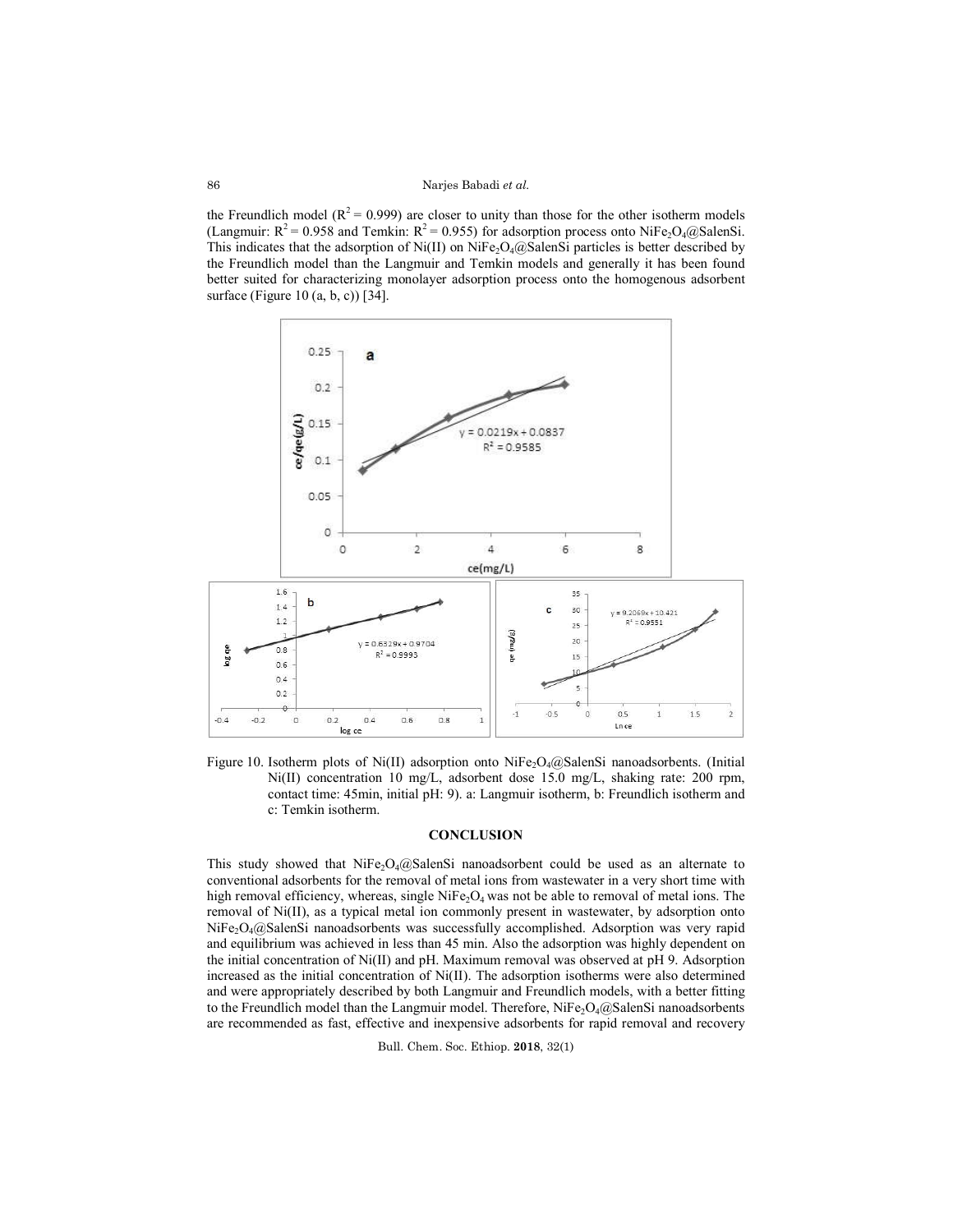the Freundlich model ( $R^2$  = 0.999) are closer to unity than those for the other isotherm models (Langmuir:  $R^2 = 0.958$  and Temkin:  $R^2 = 0.955$ ) for adsorption process onto NiFe<sub>2</sub>O<sub>4</sub>@SalenSi. This indicates that the adsorption of Ni(II) on NiFe<sub>2</sub>O<sub>4</sub>@SalenSi particles is better described by the Freundlich model than the Langmuir and Temkin models and generally it has been found better suited for characterizing monolayer adsorption process onto the homogenous adsorbent surface (Figure 10 (a, b, c)) [34].



Figure 10. Isotherm plots of Ni(II) adsorption onto NiFe<sub>2</sub>O<sub>4</sub>@SalenSi nanoadsorbents. (Initial Ni(II) concentration 10 mg/L, adsorbent dose 15.0 mg/L, shaking rate: 200 rpm, contact time: 45min, initial pH: 9). a: Langmuir isotherm, b: Freundlich isotherm and c: Temkin isotherm.

## **CONCLUSION**

This study showed that  $NiFe<sub>2</sub>O<sub>4</sub>(Q)$ SalenSi nanoadsorbent could be used as an alternate to conventional adsorbents for the removal of metal ions from wastewater in a very short time with high removal efficiency, whereas, single  $NiFe<sub>2</sub>O<sub>4</sub>$  was not be able to removal of metal ions. The removal of Ni(II), as a typical metal ion commonly present in wastewater, by adsorption onto  $NiFe<sub>2</sub>O<sub>4</sub>(a)$ SalenSi nanoadsorbents was successfully accomplished. Adsorption was very rapid and equilibrium was achieved in less than 45 min. Also the adsorption was highly dependent on the initial concentration of Ni(II) and pH. Maximum removal was observed at pH 9. Adsorption increased as the initial concentration of Ni(II). The adsorption isotherms were also determined and were appropriately described by both Langmuir and Freundlich models, with a better fitting to the Freundlich model than the Langmuir model. Therefore, NiFe<sub>2</sub>O<sub>4</sub>@SalenSi nanoadsorbents are recommended as fast, effective and inexpensive adsorbents for rapid removal and recovery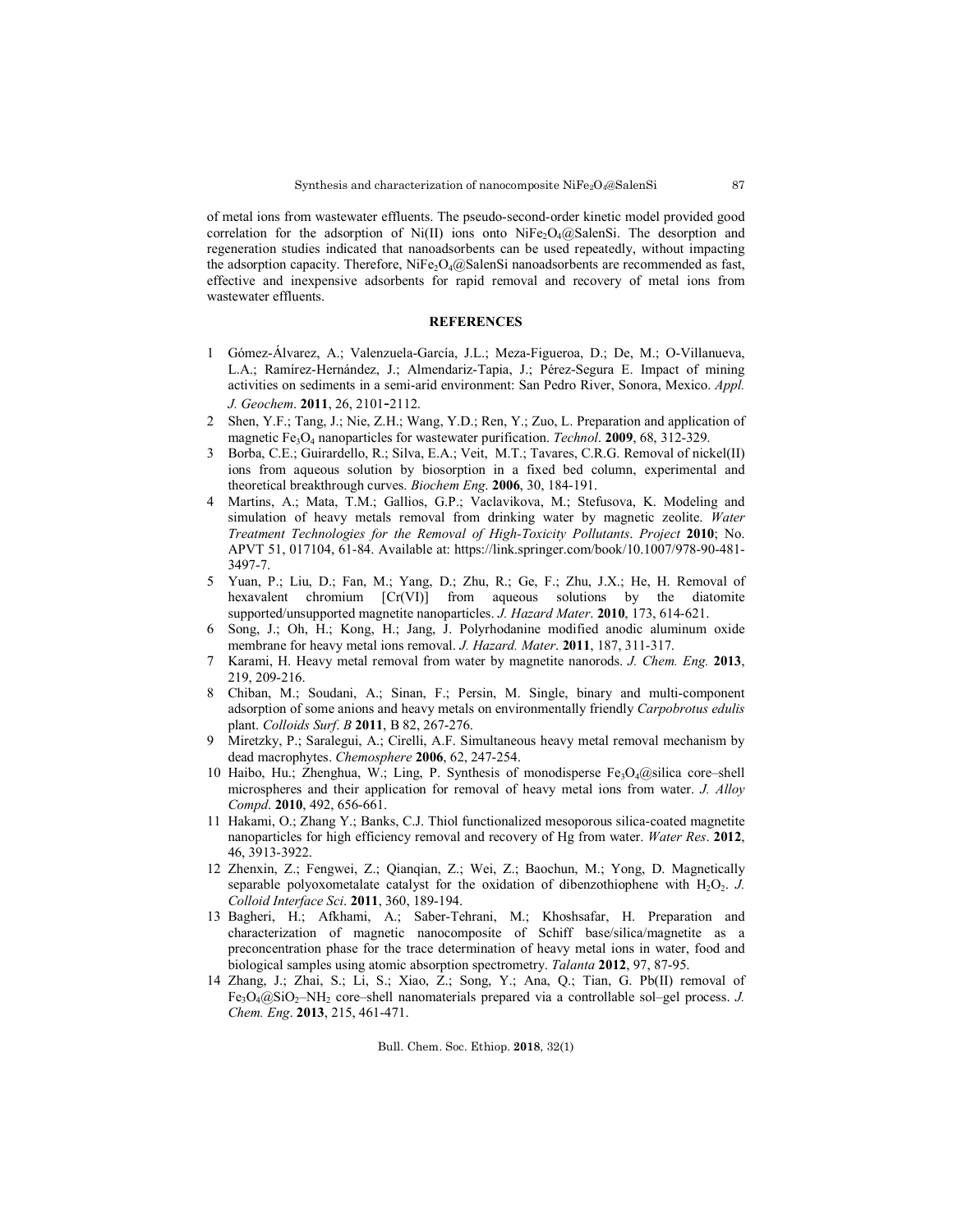of metal ions from wastewater effluents. The pseudo-second-order kinetic model provided good correlation for the adsorption of Ni(II) ions onto NiFe<sub>2</sub>O<sub>4</sub>@SalenSi. The desorption and regeneration studies indicated that nanoadsorbents can be used repeatedly, without impacting the adsorption capacity. Therefore,  $NiFe<sub>2</sub>O<sub>4</sub>(QSalenSi nanoadsorbents are recommended as fast,$ effective and inexpensive adsorbents for rapid removal and recovery of metal ions from wastewater effluents.

# **REFERENCES**

- 1 Gómez-Álvarez, A.; Valenzuela-García, J.L.; Meza-Figueroa, D.; De, M.; O-Villanueva, L.A.; Ramírez-Hernández, J.; Almendariz-Tapia, J.; Pérez-Segura E. Impact of mining activities on sediments in a semi-arid environment: San Pedro River, Sonora, Mexico. *Appl. J. Geochem*. **2011**, 26, 2101-2112.
- 2 Shen, Y.F.; Tang, J.; Nie, Z.H.; Wang, Y.D.; Ren, Y.; Zuo, L. Preparation and application of magnetic Fe3O4 nanoparticles for wastewater purification. *Technol*. **2009**, 68, 312-329.
- 3 Borba, C.E.; Guirardello, R.; Silva, E.A.; Veit, M.T.; Tavares, C.R.G. Removal of nickel(II) ions from aqueous solution by biosorption in a fixed bed column, experimental and theoretical breakthrough curves. *Biochem Eng*. **2006**, 30, 184-191.
- Martins, A.; Mata, T.M.; Gallios, G.P.; Vaclavikova, M.; Stefusova, K. Modeling and simulation of heavy metals removal from drinking water by magnetic zeolite. *Water Treatment Technologies for the Removal of High-Toxicity Pollutants*. *Project* **2010**; No. APVT 51, 017104, 61-84. Available at: https://link.springer.com/book/10.1007/978-90-481- 3497-7.
- 5 Yuan, P.; Liu, D.; Fan, M.; Yang, D.; Zhu, R.; Ge, F.; Zhu, J.X.; He, H. Removal of hexavalent chromium  $[Cr(VI)]$  from aqueous solutions by the diatomite supported/unsupported magnetite nanoparticles. *J. Hazard Mater*. **2010**, 173, 614-621.
- 6 Song, J.; Oh, H.; Kong, H.; Jang, J. Polyrhodanine modified anodic aluminum oxide membrane for heavy metal ions removal. *J. Hazard. Mater*. **2011**, 187, 311-317.
- 7 Karami, H. Heavy metal removal from water by magnetite nanorods. *J. Chem. Eng.* **2013**, 219, 209-216.
- 8 Chiban, M.; Soudani, A.; Sinan, F.; Persin, M. Single, binary and multi-component adsorption of some anions and heavy metals on environmentally friendly *Carpobrotus edulis* plant. *Colloids Surf*. *B* **2011**, B 82, 267-276.
- 9 Miretzky, P.; Saralegui, A.; Cirelli, A.F. Simultaneous heavy metal removal mechanism by dead macrophytes. *Chemosphere* **2006**, 62, 247-254.
- 10 Haibo, Hu.; Zhenghua, W.; Ling, P. Synthesis of monodisperse  $Fe<sub>3</sub>O<sub>4</sub>(Q<sub>3</sub>)$ ilica core–shell microspheres and their application for removal of heavy metal ions from water. *J. Alloy Compd*. **2010**, 492, 656-661.
- 11 Hakami, O.; Zhang Y.; Banks, C.J. Thiol functionalized mesoporous silica-coated magnetite nanoparticles for high efficiency removal and recovery of Hg from water. *Water Res*. **2012**, 46, 3913-3922.
- 12 Zhenxin, Z.; Fengwei, Z.; Qianqian, Z.; Wei, Z.; Baochun, M.; Yong, D. Magnetically separable polyoxometalate catalyst for the oxidation of dibenzothiophene with  $H_2O_2$ . *J. Colloid Interface Sci*. **2011**, 360, 189-194.
- 13 Bagheri, H.; Afkhami, A.; Saber-Tehrani, M.; Khoshsafar, H. Preparation and characterization of magnetic nanocomposite of Schiff base/silica/magnetite as a preconcentration phase for the trace determination of heavy metal ions in water, food and biological samples using atomic absorption spectrometry. *Talanta* **2012**, 97, 87-95.
- 14 Zhang, J.; Zhai, S.; Li, S.; Xiao, Z.; Song, Y.; Ana, Q.; Tian, G. Pb(II) removal of  $Fe<sub>3</sub>O<sub>4</sub>(Q<sub>3</sub>SiO<sub>2</sub>–NH<sub>2</sub>$  core–shell nanomaterials prepared via a controllable sol–gel process. *J. Chem. Eng*. **2013**, 215, 461-471.